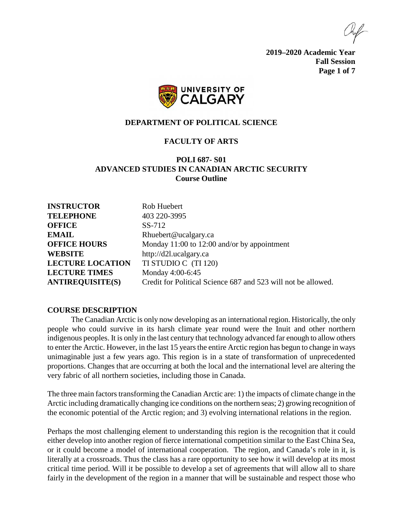**2019–2020 Academic Year Fall Session Page 1 of 7**



### **DEPARTMENT OF POLITICAL SCIENCE**

# **FACULTY OF ARTS**

# **POLI 687- S01 ADVANCED STUDIES IN CANADIAN ARCTIC SECURITY Course Outline**

| <b>INSTRUCTOR</b>       | Rob Huebert                                                   |
|-------------------------|---------------------------------------------------------------|
| <b>TELEPHONE</b>        | 403 220-3995                                                  |
| <b>OFFICE</b>           | SS-712                                                        |
| <b>EMAIL</b>            | Rhuebert@ucalgary.ca                                          |
| <b>OFFICE HOURS</b>     | Monday 11:00 to 12:00 and/or by appointment                   |
| <b>WEBSITE</b>          | http://d2l.ucalgary.ca                                        |
| <b>LECTURE LOCATION</b> | TI STUDIO C (TI 120)                                          |
| <b>LECTURE TIMES</b>    | Monday 4:00-6:45                                              |
| <b>ANTIREQUISITE(S)</b> | Credit for Political Science 687 and 523 will not be allowed. |

#### **COURSE DESCRIPTION**

The Canadian Arctic is only now developing as an international region. Historically, the only people who could survive in its harsh climate year round were the Inuit and other northern indigenous peoples. It is only in the last century that technology advanced far enough to allow others to enter the Arctic. However, in the last 15 years the entire Arctic region has begun to change in ways unimaginable just a few years ago. This region is in a state of transformation of unprecedented proportions. Changes that are occurring at both the local and the international level are altering the very fabric of all northern societies, including those in Canada.

The three main factors transforming the Canadian Arctic are: 1) the impacts of climate change in the Arctic including dramatically changing ice conditions on the northern seas; 2) growing recognition of the economic potential of the Arctic region; and 3) evolving international relations in the region.

Perhaps the most challenging element to understanding this region is the recognition that it could either develop into another region of fierce international competition similar to the East China Sea, or it could become a model of international cooperation. The region, and Canada's role in it, is literally at a crossroads. Thus the class has a rare opportunity to see how it will develop at its most critical time period. Will it be possible to develop a set of agreements that will allow all to share fairly in the development of the region in a manner that will be sustainable and respect those who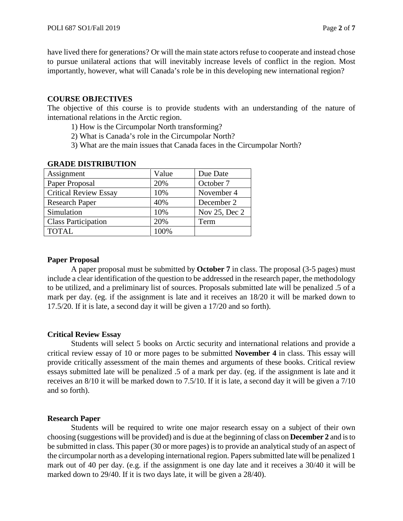have lived there for generations? Or will the main state actors refuse to cooperate and instead chose to pursue unilateral actions that will inevitably increase levels of conflict in the region. Most importantly, however, what will Canada's role be in this developing new international region?

# **COURSE OBJECTIVES**

The objective of this course is to provide students with an understanding of the nature of international relations in the Arctic region.

- 1) How is the Circumpolar North transforming?
- 2) What is Canada's role in the Circumpolar North?
- 3) What are the main issues that Canada faces in the Circumpolar North?

| Assignment                   | Value | Due Date      |
|------------------------------|-------|---------------|
| Paper Proposal               | 20%   | October 7     |
| <b>Critical Review Essay</b> | 10%   | November 4    |
| <b>Research Paper</b>        | 40%   | December 2    |
| Simulation                   | 10%   | Nov 25, Dec 2 |
| <b>Class Participation</b>   | 20%   | Term          |
| <b>TOTAL</b>                 | 100%  |               |

### **GRADE DISTRIBUTION**

### **Paper Proposal**

A paper proposal must be submitted by **October 7** in class. The proposal (3-5 pages) must include a clear identification of the question to be addressed in the research paper, the methodology to be utilized, and a preliminary list of sources. Proposals submitted late will be penalized .5 of a mark per day. (eg. if the assignment is late and it receives an 18/20 it will be marked down to 17.5/20. If it is late, a second day it will be given a 17/20 and so forth).

# **Critical Review Essay**

Students will select 5 books on Arctic security and international relations and provide a critical review essay of 10 or more pages to be submitted **November 4** in class. This essay will provide critically assessment of the main themes and arguments of these books. Critical review essays submitted late will be penalized .5 of a mark per day. (eg. if the assignment is late and it receives an 8/10 it will be marked down to 7.5/10. If it is late, a second day it will be given a 7/10 and so forth).

# **Research Paper**

Students will be required to write one major research essay on a subject of their own choosing (suggestions will be provided) and is due at the beginning of class on **December 2** and is to be submitted in class. This paper (30 or more pages) is to provide an analytical study of an aspect of the circumpolar north as a developing international region. Papers submitted late will be penalized 1 mark out of 40 per day. (e.g. if the assignment is one day late and it receives a 30/40 it will be marked down to 29/40. If it is two days late, it will be given a 28/40).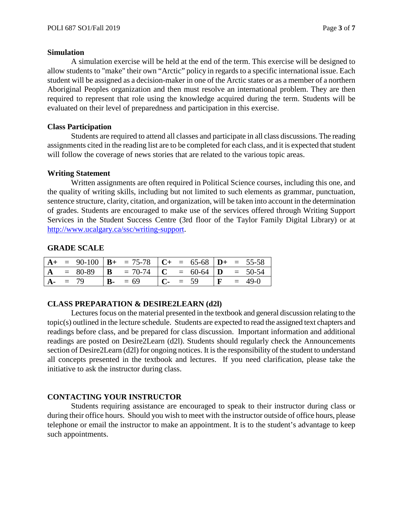#### **Simulation**

A simulation exercise will be held at the end of the term. This exercise will be designed to allow students to "make" their own "Arctic" policy in regards to a specific international issue. Each student will be assigned as a decision-maker in one of the Arctic states or as a member of a northern Aboriginal Peoples organization and then must resolve an international problem. They are then required to represent that role using the knowledge acquired during the term. Students will be evaluated on their level of preparedness and participation in this exercise.

### **Class Participation**

Students are required to attend all classes and participate in all class discussions. The reading assignments cited in the reading list are to be completed for each class, and it is expected that student will follow the coverage of news stories that are related to the various topic areas.

### **Writing Statement**

Written assignments are often required in Political Science courses, including this one, and the quality of writing skills, including but not limited to such elements as grammar, punctuation, sentence structure, clarity, citation, and organization, will be taken into account in the determination of grades. Students are encouraged to make use of the services offered through Writing Support Services in the Student Success Centre (3rd floor of the Taylor Family Digital Library) or at [http://www.ucalgary.ca/ssc/writing-support.](http://www.ucalgary.ca/ssc/writing-support)

# **GRADE SCALE**

|            |  | $A+$ = 90-100   $B+$ = 75-78   $C+$ = 65-68   $D+$ = 55-58 |  |          |  |                     |
|------------|--|------------------------------------------------------------|--|----------|--|---------------------|
|            |  | $A = 80-89$ $B = 70-74$ $C = 60-64$ $D = 50-54$            |  |          |  |                     |
| $A - = 79$ |  | $B - 59$                                                   |  | $C - 59$ |  | $\mathbf{F} = 49-0$ |

# **CLASS PREPARATION & DESIRE2LEARN (d2l)**

Lectures focus on the material presented in the textbook and general discussion relating to the topic(s) outlined in the lecture schedule. Students are expected to read the assigned text chapters and readings before class, and be prepared for class discussion. Important information and additional readings are posted on Desire2Learn (d2l). Students should regularly check the Announcements section of Desire2Learn (d2l) for ongoing notices. It is the responsibility of the student to understand all concepts presented in the textbook and lectures. If you need clarification, please take the initiative to ask the instructor during class.

# **CONTACTING YOUR INSTRUCTOR**

Students requiring assistance are encouraged to speak to their instructor during class or during their office hours. Should you wish to meet with the instructor outside of office hours, please telephone or email the instructor to make an appointment. It is to the student's advantage to keep such appointments.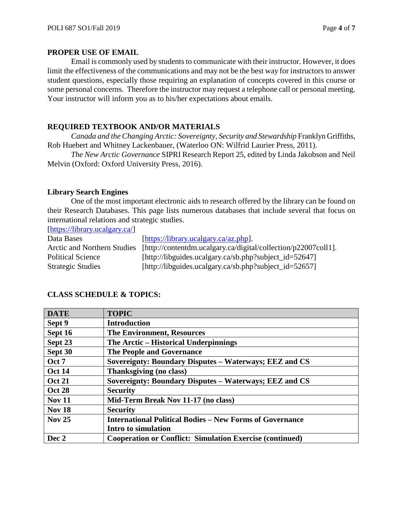# **PROPER USE OF EMAIL**

Email is commonly used by students to communicate with their instructor. However, it does limit the effectiveness of the communications and may not be the best way for instructors to answer student questions, especially those requiring an explanation of concepts covered in this course or some personal concerns. Therefore the instructor may request a telephone call or personal meeting. Your instructor will inform you as to his/her expectations about emails.

# **REQUIRED TEXTBOOK AND/OR MATERIALS**

*Canada and the Changing Arctic: Sovereignty, Security and Stewardship* Franklyn Griffiths, Rob Huebert and Whitney Lackenbauer, (Waterloo ON: Wilfrid Laurier Press, 2011).

*The New Arctic Governance* SIPRI Research Report 25, edited by Linda Jakobson and Neil Melvin (Oxford: Oxford University Press, 2016).

# **Library Search Engines**

One of the most important electronic aids to research offered by the library can be found on their Research Databases. This page lists numerous databases that include several that focus on international relations and strategic studies.

[\[https://library.ucalgary.ca/\]](https://library.ucalgary.ca/)

| Data Bases                  | [https://library.ucalgary.ca/az.php].                          |
|-----------------------------|----------------------------------------------------------------|
| Arctic and Northern Studies | [http://contentdm.ucalgary.ca/digital/collection/p22007coll1]. |
| <b>Political Science</b>    | [http://libguides.ucalgary.ca/sb.php?subject_id=52647]         |
| <b>Strategic Studies</b>    | [http://libguides.ucalgary.ca/sb.php?subject_id=52657]         |

| <b>DATE</b>   | <b>TOPIC</b>                                                    |
|---------------|-----------------------------------------------------------------|
| Sept 9        | <b>Introduction</b>                                             |
| Sept 16       | <b>The Environment, Resources</b>                               |
| Sept 23       | The Arctic – Historical Underpinnings                           |
| Sept 30       | The People and Governance                                       |
| Oct 7         | Sovereignty: Boundary Disputes - Waterways; EEZ and CS          |
| <b>Oct 14</b> | Thanksgiving (no class)                                         |
| <b>Oct 21</b> | Sovereignty: Boundary Disputes - Waterways; EEZ and CS          |
| <b>Oct 28</b> | <b>Security</b>                                                 |
| <b>Nov 11</b> | Mid-Term Break Nov 11-17 (no class)                             |
| <b>Nov 18</b> | <b>Security</b>                                                 |
| <b>Nov 25</b> | <b>International Political Bodies – New Forms of Governance</b> |
|               | Intro to simulation                                             |
| Dec 2         | <b>Cooperation or Conflict: Simulation Exercise (continued)</b> |

# **CLASS SCHEDULE & TOPICS:**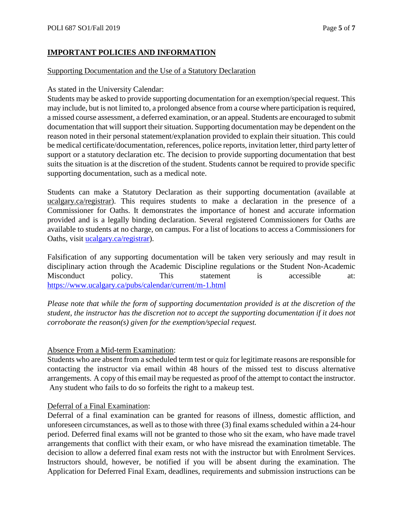# **IMPORTANT POLICIES AND INFORMATION**

### Supporting Documentation and the Use of a Statutory Declaration

### As stated in the University Calendar:

Students may be asked to provide supporting documentation for an exemption/special request. This may include, but is not limited to, a prolonged absence from a course where participation is required, a missed course assessment, a deferred examination, or an appeal. Students are encouraged to submit documentation that will support their situation. Supporting documentation may be dependent on the reason noted in their personal statement/explanation provided to explain their situation. This could be medical certificate/documentation, references, police reports, invitation letter, third party letter of support or a statutory declaration etc. The decision to provide supporting documentation that best suits the situation is at the discretion of the student. Students cannot be required to provide specific supporting documentation, such as a medical note.

Students can make a Statutory Declaration as their supporting documentation (available at ucalgary.ca/registrar). This requires students to make a declaration in the presence of a Commissioner for Oaths. It demonstrates the importance of honest and accurate information provided and is a legally binding declaration. Several registered Commissioners for Oaths are available to students at no charge, on campus. For a list of locations to access a Commissioners for Oaths, visit [ucalgary.ca/registrar\)](http://www.ucalgary.ca/registrar).

Falsification of any supporting documentation will be taken very seriously and may result in disciplinary action through the Academic Discipline regulations or the Student Non-Academic Misconduct policy. This statement is accessible at: <https://www.ucalgary.ca/pubs/calendar/current/m-1.html>

*Please note that while the form of supporting documentation provided is at the discretion of the student, the instructor has the discretion not to accept the supporting documentation if it does not corroborate the reason(s) given for the exemption/special request.*

# Absence From a Mid-term Examination:

Students who are absent from a scheduled term test or quiz for legitimate reasons are responsible for contacting the instructor via email within 48 hours of the missed test to discuss alternative arrangements. A copy of this email may be requested as proof of the attempt to contact the instructor. Any student who fails to do so forfeits the right to a makeup test.

# Deferral of a Final Examination:

Deferral of a final examination can be granted for reasons of illness, domestic affliction, and unforeseen circumstances, as well as to those with three (3) final exams scheduled within a 24-hour period. Deferred final exams will not be granted to those who sit the exam, who have made travel arrangements that conflict with their exam, or who have misread the examination timetable. The decision to allow a deferred final exam rests not with the instructor but with Enrolment Services. Instructors should, however, be notified if you will be absent during the examination. The Application for Deferred Final Exam, deadlines, requirements and submission instructions can be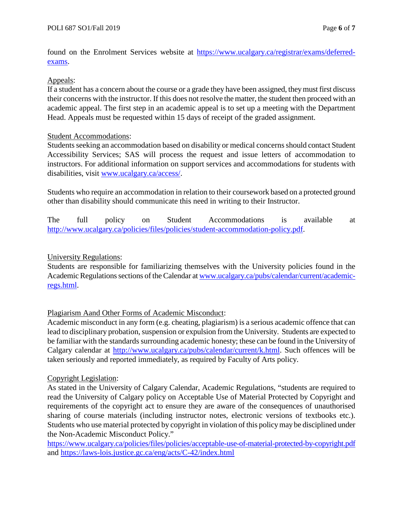found on the Enrolment Services website at [https://www.ucalgary.ca/registrar/exams/deferred](https://www.ucalgary.ca/registrar/exams/deferred-exams)[exams.](https://www.ucalgary.ca/registrar/exams/deferred-exams)

# Appeals:

If a student has a concern about the course or a grade they have been assigned, they must first discuss their concerns with the instructor. If this does not resolve the matter, the student then proceed with an academic appeal. The first step in an academic appeal is to set up a meeting with the Department Head. Appeals must be requested within 15 days of receipt of the graded assignment.

### Student Accommodations:

Students seeking an accommodation based on disability or medical concerns should contact Student Accessibility Services; SAS will process the request and issue letters of accommodation to instructors. For additional information on support services and accommodations for students with disabilities, visit [www.ucalgary.ca/access/.](http://www.ucalgary.ca/access/)

Students who require an accommodation in relation to their coursework based on a protected ground other than disability should communicate this need in writing to their Instructor.

The full policy on Student Accommodations is available at [http://www.ucalgary.ca/policies/files/policies/student-accommodation-policy.pdf.](http://www.ucalgary.ca/policies/files/policies/student-accommodation-policy.pdf)

# University Regulations:

Students are responsible for familiarizing themselves with the University policies found in the Academic Regulations sections of the Calendar at [www.ucalgary.ca/pubs/calendar/current/academic](http://www.ucalgary.ca/pubs/calendar/current/academic-regs.html)[regs.html.](http://www.ucalgary.ca/pubs/calendar/current/academic-regs.html)

# Plagiarism Aand Other Forms of Academic Misconduct:

Academic misconduct in any form (e.g. cheating, plagiarism) is a serious academic offence that can lead to disciplinary probation, suspension or expulsion from the University. Students are expected to be familiar with the standards surrounding academic honesty; these can be found in the University of Calgary calendar at [http://www.ucalgary.ca/pubs/calendar/current/k.html.](http://www.ucalgary.ca/pubs/calendar/current/k.html) Such offences will be taken seriously and reported immediately, as required by Faculty of Arts policy.

# Copyright Legislation:

As stated in the University of Calgary Calendar, Academic Regulations, "students are required to read the University of Calgary policy on Acceptable Use of Material Protected by Copyright and requirements of the copyright act to ensure they are aware of the consequences of unauthorised sharing of course materials (including instructor notes, electronic versions of textbooks etc.). Students who use material protected by copyright in violation of this policy may be disciplined under the Non-Academic Misconduct Policy."

<https://www.ucalgary.ca/policies/files/policies/acceptable-use-of-material-protected-by-copyright.pdf> and<https://laws-lois.justice.gc.ca/eng/acts/C-42/index.html>